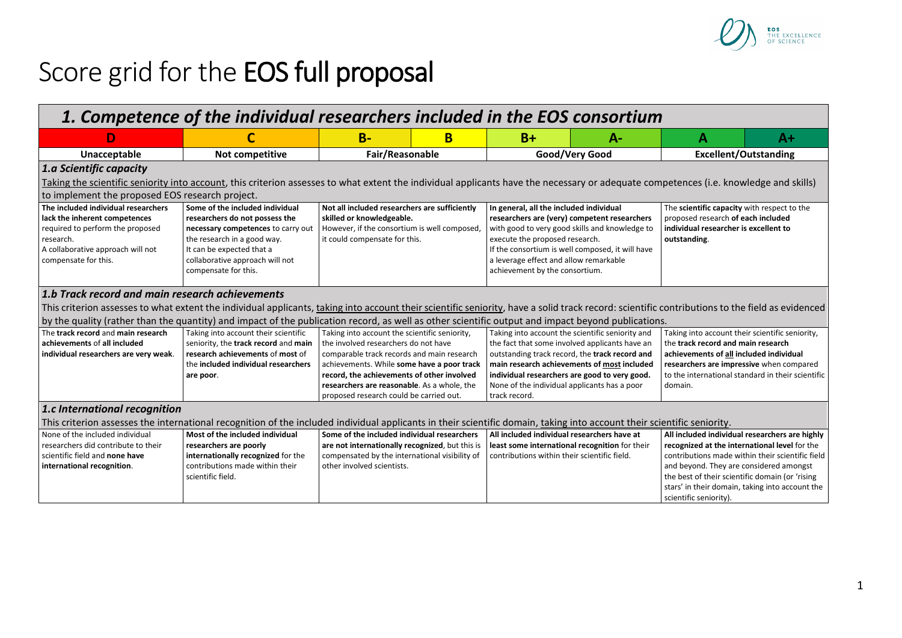

## Score grid for the EOS full proposal

| 1. Competence of the individual researchers included in the EOS consortium                                                                                                                      |                                                                                                                                                                                                                                |                                                                                                                                                                                                                                                                                                                           |   |                                                                                                                                                                                                                                                                                                                       |                                                |                                                                                                                                                                                                                                                                                                                                |      |  |
|-------------------------------------------------------------------------------------------------------------------------------------------------------------------------------------------------|--------------------------------------------------------------------------------------------------------------------------------------------------------------------------------------------------------------------------------|---------------------------------------------------------------------------------------------------------------------------------------------------------------------------------------------------------------------------------------------------------------------------------------------------------------------------|---|-----------------------------------------------------------------------------------------------------------------------------------------------------------------------------------------------------------------------------------------------------------------------------------------------------------------------|------------------------------------------------|--------------------------------------------------------------------------------------------------------------------------------------------------------------------------------------------------------------------------------------------------------------------------------------------------------------------------------|------|--|
|                                                                                                                                                                                                 |                                                                                                                                                                                                                                | $B -$                                                                                                                                                                                                                                                                                                                     | в | $B+$                                                                                                                                                                                                                                                                                                                  | А-                                             | Α                                                                                                                                                                                                                                                                                                                              | $A+$ |  |
| Unacceptable                                                                                                                                                                                    | Not competitive                                                                                                                                                                                                                | Fair/Reasonable                                                                                                                                                                                                                                                                                                           |   | Good/Very Good                                                                                                                                                                                                                                                                                                        |                                                | <b>Excellent/Outstanding</b>                                                                                                                                                                                                                                                                                                   |      |  |
| 1.a Scientific capacity                                                                                                                                                                         |                                                                                                                                                                                                                                |                                                                                                                                                                                                                                                                                                                           |   |                                                                                                                                                                                                                                                                                                                       |                                                |                                                                                                                                                                                                                                                                                                                                |      |  |
| Taking the scientific seniority into account, this criterion assesses to what extent the individual applicants have the necessary or adequate competences (i.e. knowledge and skills)           |                                                                                                                                                                                                                                |                                                                                                                                                                                                                                                                                                                           |   |                                                                                                                                                                                                                                                                                                                       |                                                |                                                                                                                                                                                                                                                                                                                                |      |  |
| to implement the proposed EOS research project.                                                                                                                                                 |                                                                                                                                                                                                                                |                                                                                                                                                                                                                                                                                                                           |   |                                                                                                                                                                                                                                                                                                                       |                                                |                                                                                                                                                                                                                                                                                                                                |      |  |
| The included individual researchers<br>lack the inherent competences<br>required to perform the proposed<br>research.<br>A collaborative approach will not<br>compensate for this.              | Some of the included individual<br>researchers do not possess the<br>necessary competences to carry out<br>the research in a good way.<br>It can be expected that a<br>collaborative approach will not<br>compensate for this. | Not all included researchers are sufficiently<br>skilled or knowledgeable.<br>However, if the consortium is well composed,<br>it could compensate for this.                                                                                                                                                               |   | In general, all the included individual<br>researchers are (very) competent researchers<br>with good to very good skills and knowledge to<br>execute the proposed research.<br>If the consortium is well composed, it will have<br>a leverage effect and allow remarkable<br>achievement by the consortium.           |                                                | The scientific capacity with respect to the<br>proposed research of each included<br>individual researcher is excellent to<br>outstanding.                                                                                                                                                                                     |      |  |
| 1.b Track record and main research achievements                                                                                                                                                 |                                                                                                                                                                                                                                |                                                                                                                                                                                                                                                                                                                           |   |                                                                                                                                                                                                                                                                                                                       |                                                |                                                                                                                                                                                                                                                                                                                                |      |  |
| This criterion assesses to what extent the individual applicants, taking into account their scientific seniority, have a solid track record: scientific contributions to the field as evidenced |                                                                                                                                                                                                                                |                                                                                                                                                                                                                                                                                                                           |   |                                                                                                                                                                                                                                                                                                                       |                                                |                                                                                                                                                                                                                                                                                                                                |      |  |
| by the quality (rather than the quantity) and impact of the publication record, as well as other scientific output and impact beyond publications.                                              |                                                                                                                                                                                                                                |                                                                                                                                                                                                                                                                                                                           |   |                                                                                                                                                                                                                                                                                                                       |                                                |                                                                                                                                                                                                                                                                                                                                |      |  |
| The track record and main research<br>achievements of all included<br>individual researchers are very weak.                                                                                     | Taking into account their scientific<br>seniority, the track record and main<br>research achievements of most of<br>the included individual researchers<br>are poor.                                                           | Taking into account the scientific seniority,<br>the involved researchers do not have<br>comparable track records and main research<br>achievements. While some have a poor track<br>record, the achievements of other involved<br>researchers are reasonable. As a whole, the<br>proposed research could be carried out. |   | Taking into account the scientific seniority and<br>the fact that some involved applicants have an<br>outstanding track record, the track record and<br>main research achievements of most included<br>individual researchers are good to very good.<br>None of the individual applicants has a poor<br>track record. |                                                | Taking into account their scientific seniority,<br>the track record and main research<br>achievements of all included individual<br>researchers are impressive when compared<br>to the international standard in their scientific<br>domain.                                                                                   |      |  |
| 1.c International recognition                                                                                                                                                                   |                                                                                                                                                                                                                                |                                                                                                                                                                                                                                                                                                                           |   |                                                                                                                                                                                                                                                                                                                       |                                                |                                                                                                                                                                                                                                                                                                                                |      |  |
| This criterion assesses the international recognition of the included individual applicants in their scientific domain, taking into account their scientific seniority.                         |                                                                                                                                                                                                                                |                                                                                                                                                                                                                                                                                                                           |   |                                                                                                                                                                                                                                                                                                                       |                                                |                                                                                                                                                                                                                                                                                                                                |      |  |
| None of the included individual<br>researchers did contribute to their<br>scientific field and none have<br>international recognition.                                                          | Most of the included individual<br>researchers are poorly<br>internationally recognized for the<br>contributions made within their<br>scientific field.                                                                        | Some of the included individual researchers<br>are not internationally recognized, but this is<br>compensated by the international visibility of<br>other involved scientists.                                                                                                                                            |   | All included individual researchers have at<br>contributions within their scientific field.                                                                                                                                                                                                                           | least some international recognition for their | All included individual researchers are highly<br>recognized at the international level for the<br>contributions made within their scientific field<br>and beyond. They are considered amongst<br>the best of their scientific domain (or 'rising<br>stars' in their domain, taking into account the<br>scientific seniority). |      |  |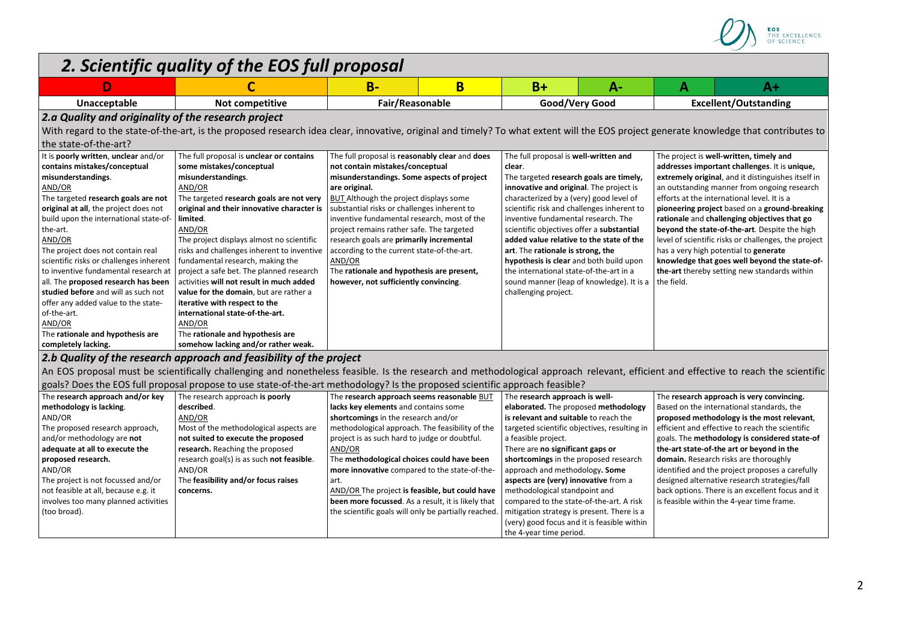

| D                                                   |                                                                                                                                                                                       | $B -$                                                | B | $B+$                                         | $A -$                                     | A                                               | $A+$                                                 |  |
|-----------------------------------------------------|---------------------------------------------------------------------------------------------------------------------------------------------------------------------------------------|------------------------------------------------------|---|----------------------------------------------|-------------------------------------------|-------------------------------------------------|------------------------------------------------------|--|
| Unacceptable                                        | Not competitive                                                                                                                                                                       | Fair/Reasonable                                      |   | Good/Very Good                               |                                           | <b>Excellent/Outstanding</b>                    |                                                      |  |
| 2.a Quality and originality of the research project |                                                                                                                                                                                       |                                                      |   |                                              |                                           |                                                 |                                                      |  |
|                                                     | With regard to the state-of-the-art, is the proposed research idea clear, innovative, original and timely? To what extent will the EOS project generate knowledge that contributes to |                                                      |   |                                              |                                           |                                                 |                                                      |  |
| the state-of-the-art?                               |                                                                                                                                                                                       |                                                      |   |                                              |                                           |                                                 |                                                      |  |
| It is poorly written, unclear and/or                | The full proposal is unclear or contains                                                                                                                                              | The full proposal is reasonably clear and does       |   | The full proposal is well-written and        |                                           | The project is well-written, timely and         |                                                      |  |
| contains mistakes/conceptual                        | some mistakes/conceptual                                                                                                                                                              | not contain mistakes/conceptual                      |   | clear.                                       |                                           | addresses important challenges. It is unique,   |                                                      |  |
| misunderstandings.                                  | misunderstandings.                                                                                                                                                                    | misunderstandings. Some aspects of project           |   | The targeted research goals are timely,      |                                           |                                                 | extremely original, and it distinguishes itself in   |  |
| AND/OR                                              | AND/OR                                                                                                                                                                                | are original.                                        |   | innovative and original. The project is      |                                           |                                                 | an outstanding manner from ongoing research          |  |
| The targeted research goals are not                 | The targeted research goals are not very                                                                                                                                              | BUT Although the project displays some               |   | characterized by a (very) good level of      |                                           | efforts at the international level. It is a     |                                                      |  |
| original at all, the project does not               | original and their innovative character is                                                                                                                                            | substantial risks or challenges inherent to          |   | scientific risk and challenges inherent to   |                                           |                                                 | pioneering project based on a ground-breaking        |  |
| build upon the international state-of-              | limited.                                                                                                                                                                              | inventive fundamental research, most of the          |   | inventive fundamental research. The          |                                           | rationale and challenging objectives that go    |                                                      |  |
| the-art.                                            | AND/OR                                                                                                                                                                                | project remains rather safe. The targeted            |   | scientific objectives offer a substantial    |                                           | beyond the state-of-the-art. Despite the high   |                                                      |  |
| AND/OR                                              | The project displays almost no scientific                                                                                                                                             | research goals are primarily incremental             |   | added value relative to the state of the     |                                           |                                                 | level of scientific risks or challenges, the project |  |
| The project does not contain real                   | risks and challenges inherent to inventive                                                                                                                                            | according to the current state-of-the-art.           |   | art. The rationale is strong, the            |                                           |                                                 | has a very high potential to <b>generate</b>         |  |
| scientific risks or challenges inherent             | fundamental research, making the                                                                                                                                                      | AND/OR                                               |   | hypothesis is clear and both build upon      |                                           |                                                 | knowledge that goes well beyond the state-of-        |  |
| to inventive fundamental research at                | project a safe bet. The planned research                                                                                                                                              | The rationale and hypothesis are present,            |   | the international state-of-the-art in a      |                                           |                                                 | the-art thereby setting new standards within         |  |
| all. The proposed research has been                 | activities will not result in much added                                                                                                                                              | however, not sufficiently convincing.                |   |                                              | sound manner (leap of knowledge). It is a | the field.                                      |                                                      |  |
| studied before and will as such not                 | value for the domain, but are rather a                                                                                                                                                |                                                      |   | challenging project.                         |                                           |                                                 |                                                      |  |
| offer any added value to the state-                 | iterative with respect to the                                                                                                                                                         |                                                      |   |                                              |                                           |                                                 |                                                      |  |
| of-the-art.                                         | international state-of-the-art.                                                                                                                                                       |                                                      |   |                                              |                                           |                                                 |                                                      |  |
| AND/OR                                              | AND/OR                                                                                                                                                                                |                                                      |   |                                              |                                           |                                                 |                                                      |  |
| The rationale and hypothesis are                    | The rationale and hypothesis are                                                                                                                                                      |                                                      |   |                                              |                                           |                                                 |                                                      |  |
| completely lacking.                                 | somehow lacking and/or rather weak.                                                                                                                                                   |                                                      |   |                                              |                                           |                                                 |                                                      |  |
|                                                     | 2.b Quality of the research approach and feasibility of the project                                                                                                                   |                                                      |   |                                              |                                           |                                                 |                                                      |  |
|                                                     | An EOS proposal must be scientifically challenging and nonetheless feasible. Is the research and methodological approach relevant, efficient and effective to reach the scientific    |                                                      |   |                                              |                                           |                                                 |                                                      |  |
|                                                     | goals? Does the EOS full proposal propose to use state-of-the-art methodology? Is the proposed scientific approach feasible?                                                          |                                                      |   |                                              |                                           |                                                 |                                                      |  |
| The research approach and/or key                    | The research approach is poorly                                                                                                                                                       | The research approach seems reasonable BUT           |   | The research approach is well-               |                                           |                                                 | The research approach is very convincing.            |  |
| methodology is lacking.                             | described.                                                                                                                                                                            | lacks key elements and contains some                 |   | elaborated. The proposed methodology         |                                           |                                                 | Based on the international standards, the            |  |
| AND/OR                                              | AND/OR                                                                                                                                                                                | shortcomings in the research and/or                  |   | is relevant and suitable to reach the        |                                           | proposed methodology is the most relevant,      |                                                      |  |
| The proposed research approach,                     | Most of the methodological aspects are                                                                                                                                                | methodological approach. The feasibility of the      |   | targeted scientific objectives, resulting in |                                           | efficient and effective to reach the scientific |                                                      |  |
| and/or methodology are not                          | not suited to execute the proposed                                                                                                                                                    | project is as such hard to judge or doubtful.        |   | a feasible project.                          |                                           | goals. The methodology is considered state-of   |                                                      |  |
| adequate at all to execute the                      | research. Reaching the proposed                                                                                                                                                       | AND/OR                                               |   | There are no significant gaps or             |                                           | the-art state-of-the art or beyond in the       |                                                      |  |
| proposed research.                                  | research goal(s) is as such not feasible.                                                                                                                                             | The methodological choices could have been           |   | shortcomings in the proposed research        |                                           |                                                 | domain. Research risks are thoroughly                |  |
| AND/OR                                              | AND/OR                                                                                                                                                                                | more innovative compared to the state-of-the-        |   | approach and methodology. Some               |                                           |                                                 | identified and the project proposes a carefully      |  |
| The project is not focussed and/or                  | The feasibility and/or focus raises                                                                                                                                                   | art.                                                 |   | aspects are (very) innovative from a         |                                           |                                                 | designed alternative research strategies/fall        |  |
| not feasible at all, because e.g. it                | concerns.                                                                                                                                                                             | AND/OR The project is feasible, but could have       |   | methodological standpoint and                |                                           |                                                 | back options. There is an excellent focus and it     |  |
| involves too many planned activities                |                                                                                                                                                                                       | been more focussed. As a result, it is likely that   |   | compared to the state-of-the-art. A risk     |                                           |                                                 | is feasible within the 4-year time frame.            |  |
| (too broad).                                        |                                                                                                                                                                                       | the scientific goals will only be partially reached. |   | mitigation strategy is present. There is a   |                                           |                                                 |                                                      |  |
|                                                     |                                                                                                                                                                                       |                                                      |   | (very) good focus and it is feasible within  |                                           |                                                 |                                                      |  |
|                                                     |                                                                                                                                                                                       |                                                      |   | the 4-year time period.                      |                                           |                                                 |                                                      |  |